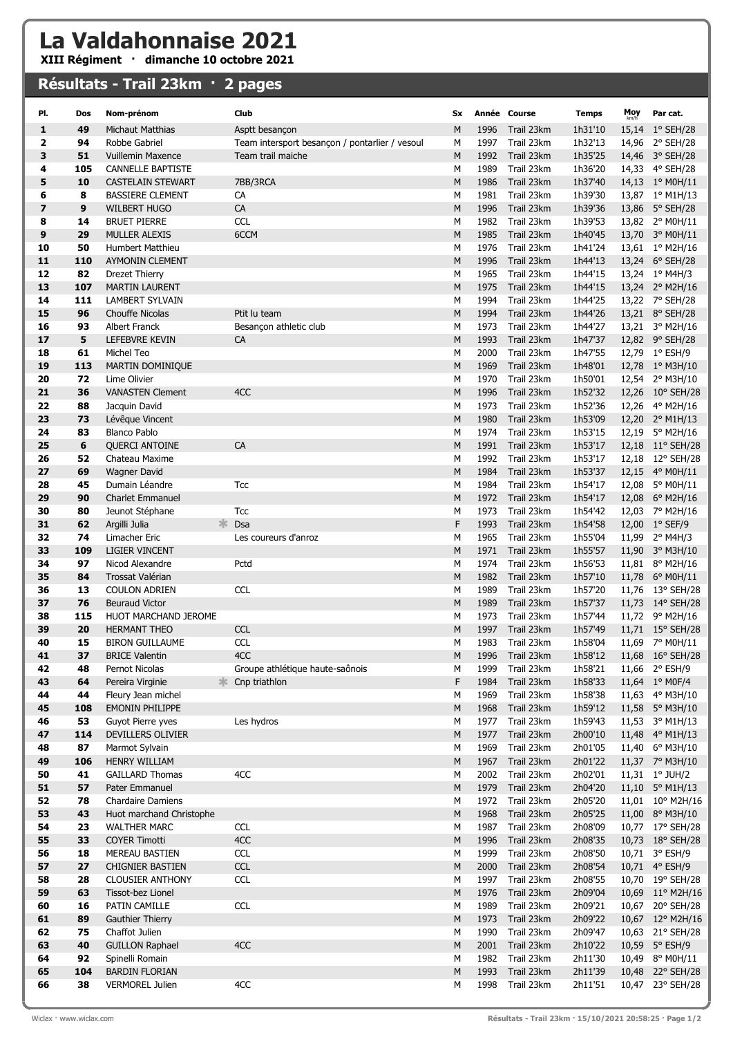## La Valdahonnaise 2021

XIII Régiment · dimanche 10 octobre 2021

## Résultats - Trail 23km · 2 pages

| PI.                     | Dos       | Nom-prénom                                         | Club                                           | Sx             |              | Année Course             | <b>Temps</b>       | $Moy$ <sub>km/h</sub> | Par cat.                            |
|-------------------------|-----------|----------------------------------------------------|------------------------------------------------|----------------|--------------|--------------------------|--------------------|-----------------------|-------------------------------------|
| 1                       | 49        | Michaut Matthias                                   | Asptt besancon                                 | M              | 1996         | Trail 23km               | 1h31'10            | 15,14                 | $1°$ SEH/28                         |
| $\overline{\mathbf{2}}$ | 94        | Robbe Gabriel                                      | Team intersport besancon / pontarlier / vesoul | М              | 1997         | Trail 23km               | 1h32'13            |                       | 14,96 2° SEH/28                     |
| 3                       | 51        | <b>Vuillemin Maxence</b>                           | Team trail maiche                              | M              | 1992         | Trail 23km               | 1h35'25            |                       | 14,46 3° SEH/28                     |
| 4                       | 105       | <b>CANNELLE BAPTISTE</b>                           |                                                | М              | 1989         | Trail 23km               | 1h36'20            |                       | 14,33 4° SEH/28                     |
| 5                       | 10        | <b>CASTELAIN STEWART</b>                           | 7BB/3RCA                                       | M              | 1986         | Trail 23km               | 1h37'40            |                       | 14,13 1° M0H/11                     |
| 6                       | 8         | <b>BASSIERE CLEMENT</b>                            | CA                                             | М              | 1981         | Trail 23km               | 1h39'30            |                       | 13,87 1° M1H/13                     |
| $\overline{\mathbf{z}}$ | 9         | <b>WILBERT HUGO</b>                                | CA                                             | M              | 1996         | Trail 23km               | 1h39'36            |                       | 13,86 5° SEH/28                     |
| 8                       | 14        | <b>BRUET PIERRE</b>                                | <b>CCL</b>                                     | М              | 1982         | Trail 23km               | 1h39'53            |                       | 13,82 2° M0H/11                     |
| 9                       | 29        | <b>MULLER ALEXIS</b>                               | 6CCM                                           | M              | 1985         | Trail 23km               | 1h40'45            |                       | 13,70 3° M0H/11                     |
| 10                      | 50        | Humbert Matthieu                                   |                                                | М              | 1976         | Trail 23km               | 1h41'24            |                       | 13,61 1° M2H/16                     |
| 11                      | 110       | <b>AYMONIN CLEMENT</b>                             |                                                | M              | 1996         | Trail 23km               | 1h44'13            |                       | 13,24 6° SEH/28                     |
| 12                      | 82        | Drezet Thierry                                     |                                                | М              | 1965         | Trail 23km               | 1h44'15            |                       | 13,24 1° M4H/3                      |
| 13                      | 107       | <b>MARTIN LAURENT</b>                              |                                                | M              | 1975         | Trail 23km               | 1h44'15            |                       | 13,24 2° M2H/16                     |
| 14                      | 111       | <b>LAMBERT SYLVAIN</b>                             |                                                | м              | 1994         | Trail 23km               | 1h44'25            |                       | 13,22 7° SEH/28                     |
| 15                      | 96        | <b>Chouffe Nicolas</b>                             | Ptit lu team                                   | M              | 1994         | Trail 23km               | 1h44'26            |                       | 13,21 8° SEH/28                     |
| 16<br>17                | 93        | Albert Franck                                      | Besançon athletic club                         | М              | 1973         | Trail 23km               | 1h44'27            |                       | 13,21 3° M2H/16                     |
| 18                      | 5<br>61   | LEFEBVRE KEVIN<br>Michel Teo                       | CA                                             | M<br>М         | 1993<br>2000 | Trail 23km<br>Trail 23km | 1h47'37<br>1h47'55 |                       | 12,82 9° SEH/28<br>12,79 1° ESH/9   |
| 19                      | 113       | MARTIN DOMINIQUE                                   |                                                | M              | 1969         | Trail 23km               | 1h48'01            |                       | 12,78 1° M3H/10                     |
| 20                      | 72        | Lime Olivier                                       |                                                | М              | 1970         | Trail 23km               | 1h50'01            |                       | 12,54 2° M3H/10                     |
| 21                      | 36        | <b>VANASTEN Clement</b>                            | 4CC                                            | M              | 1996         | Trail 23km               | 1h52'32            |                       | 12,26 10° SEH/28                    |
| 22                      | 88        | Jacquin David                                      |                                                | М              | 1973         | Trail 23km               | 1h52'36            |                       | 12,26 4° M2H/16                     |
| 23                      | 73        | Lévêque Vincent                                    |                                                | M              | 1980         | Trail 23km               | 1h53'09            |                       | 12,20 2° M1H/13                     |
| 24                      | 83        | <b>Blanco Pablo</b>                                |                                                | М              | 1974         | Trail 23km               | 1h53'15            | 12,19                 | $5^{\circ}$ M2H/16                  |
| 25                      | 6         | <b>OUERCI ANTOINE</b>                              | CA                                             | M              | 1991         | Trail 23km               | 1h53'17            |                       | 12,18 11° SEH/28                    |
| 26                      | 52        | Chateau Maxime                                     |                                                | М              | 1992         | Trail 23km               | 1h53'17            |                       | 12,18 12° SEH/28                    |
| 27                      | 69        | <b>Wagner David</b>                                |                                                | M              | 1984         | Trail 23km               | 1h53'37            |                       | 12,15 4° M0H/11                     |
| 28                      | 45        | Dumain Léandre                                     | Tcc                                            | М              | 1984         | Trail 23km               | 1h54'17            |                       | 12,08 5° M0H/11                     |
| 29                      | 90        | <b>Charlet Emmanuel</b>                            |                                                | M              | 1972         | Trail 23km               | 1h54'17            |                       | 12,08 6° M2H/16                     |
| 30                      | 80        | Jeunot Stéphane                                    | Tcc                                            | М              | 1973         | Trail 23km               | 1h54'42            |                       | 12,03 7° M2H/16                     |
| 31                      | 62        | 氺<br>Argilli Julia                                 | Dsa                                            | F              | 1993         | Trail 23km               | 1h54'58            |                       | 12,00 1° SEF/9                      |
| 32                      | 74        | Limacher Eric                                      | Les coureurs d'anroz                           | М              | 1965         | Trail 23km               | 1h55'04            |                       | 11,99 2° M4H/3                      |
| 33                      | 109       | <b>LIGIER VINCENT</b>                              |                                                | M              | 1971         | Trail 23km               | 1h55'57            |                       | 11,90 3° M3H/10                     |
| 34                      | 97        | Nicod Alexandre                                    | Pctd                                           | М              | 1974         | Trail 23km               | 1h56'53            |                       | 11,81 $8^{\circ}$ M2H/16            |
| 35                      | 84        | Trossat Valérian                                   |                                                | M              | 1982         | Trail 23km               | 1h57'10            |                       | 11,78 6° M0H/11                     |
| 36                      | 13        | <b>COULON ADRIEN</b>                               | <b>CCL</b>                                     | М              | 1989         | Trail 23km               | 1h57'20            |                       | 11,76 13° SEH/28                    |
| 37                      | 76        | <b>Beuraud Victor</b>                              |                                                | M              | 1989         | Trail 23km               | 1h57'37            |                       | 11,73 14° SEH/28                    |
| 38<br>39                | 115<br>20 | HUOT MARCHAND JEROME                               | <b>CCL</b>                                     | М<br>M         | 1973<br>1997 | Trail 23km<br>Trail 23km | 1h57'44<br>1h57'49 |                       | 11,72 9° M2H/16<br>11,71 15° SEH/28 |
| 40                      | 15        | <b>HERMANT THEO</b><br><b>BIRON GUILLAUME</b>      | <b>CCL</b>                                     | М              | 1983         | Trail 23km               | 1h58'04            |                       | 11,69 7° M0H/11                     |
| 41                      | 37        | <b>BRICE Valentin</b>                              | 4CC                                            | М              |              | 1996 Trail 23km          | 1h58'12            |                       | 11,68 16° SEH/28                    |
| 42                      | 48        | Pernot Nicolas                                     | Groupe athlétique haute-saônois                | м              | 1999         | Trail 23km               | 1h58'21            |                       | 11,66 2° ESH/9                      |
| 43                      | 64        | 야.<br>Pereira Virginie                             | Cnp triathlon                                  | F              | 1984         | Trail 23km               | 1h58'33            |                       | 11,64 1° MOF/4                      |
| 44                      | 44        | Fleury Jean michel                                 |                                                | М              | 1969         | Trail 23km               | 1h58'38            |                       | 11,63 4° M3H/10                     |
| 45                      | 108       | <b>EMONIN PHILIPPE</b>                             |                                                | ${\sf M}$      | 1968         | Trail 23km               | 1h59'12            |                       | 11,58 5° M3H/10                     |
| 46                      | 53        | Guyot Pierre yves                                  | Les hydros                                     | М              | 1977         | Trail 23km               | 1h59'43            |                       | 11,53 3° M1H/13                     |
| 47                      | 114       | DEVILLERS OLIVIER                                  |                                                | ${\sf M}$      | 1977         | Trail 23km               | 2h00'10            |                       | 11,48 4° M1H/13                     |
| 48                      | 87        | Marmot Sylvain                                     |                                                | М              | 1969         | Trail 23km               | 2h01'05            |                       | 11,40 6° M3H/10                     |
| 49                      | 106       | <b>HENRY WILLIAM</b>                               |                                                | ${\sf M}$      | 1967         | Trail 23km               | 2h01'22            |                       | 11,37 7° M3H/10                     |
| 50                      | 41        | <b>GAILLARD Thomas</b>                             | 4CC                                            | М              | 2002         | Trail 23km               | 2h02'01            |                       | 11,31 1° JUH/2                      |
| 51                      | 57        | Pater Emmanuel                                     |                                                | ${\sf M}$      | 1979         | Trail 23km               | 2h04'20            |                       | 11,10 5° M1H/13                     |
| 52                      | 78        | Chardaire Damiens                                  |                                                | М              | 1972         | Trail 23km               | 2h05'20            |                       | 11,01 10° M2H/16                    |
| 53                      | 43        | Huot marchand Christophe                           |                                                | ${\sf M}$      | 1968         | Trail 23km               | 2h05'25            |                       | 11,00 8° M3H/10                     |
| 54                      | 23        | <b>WALTHER MARC</b>                                | <b>CCL</b>                                     | М              | 1987         | Trail 23km               | 2h08'09            |                       | 10,77 17° SEH/28                    |
| 55                      | 33        | <b>COYER Timotti</b>                               | 4CC                                            | M              | 1996         | Trail 23km               | 2h08'35            |                       | 10,73 18° SEH/28                    |
| 56<br>57                | 18<br>27  | MEREAU BASTIEN                                     | <b>CCL</b><br><b>CCL</b>                       | М<br>${\sf M}$ | 1999<br>2000 | Trail 23km               | 2h08'50            |                       | 10,71 3° ESH/9                      |
| 58                      | 28        | <b>CHIGNIER BASTIEN</b><br><b>CLOUSIER ANTHONY</b> | <b>CCL</b>                                     | М              | 1997         | Trail 23km<br>Trail 23km | 2h08'54<br>2h08'55 |                       | 10,71 4° ESH/9<br>10,70 19° SEH/28  |
| 59                      | 63        | Tissot-bez Lionel                                  |                                                | ${\sf M}$      | 1976         | Trail 23km               | 2h09'04            |                       | 10,69 11° M2H/16                    |
| 60                      | 16        | PATIN CAMILLE                                      | <b>CCL</b>                                     | М              | 1989         | Trail 23km               | 2h09'21            |                       | 10,67 20° SEH/28                    |
| 61                      | 89        | Gauthier Thierry                                   |                                                | ${\sf M}$      | 1973         | Trail 23km               | 2h09'22            |                       | 10,67 12° M2H/16                    |
| 62                      | 75        | Chaffot Julien                                     |                                                | М              | 1990         | Trail 23km               | 2h09'47            |                       | 10,63 21° SEH/28                    |
| 63                      | 40        | <b>GUILLON Raphael</b>                             | 4CC                                            | M              | 2001         | Trail 23km               | 2h10'22            |                       | 10,59 5° ESH/9                      |
| 64                      | 92        | Spinelli Romain                                    |                                                | М              | 1982         | Trail 23km               | 2h11'30            |                       | 10,49 8° M0H/11                     |
| 65                      | 104       | <b>BARDIN FLORIAN</b>                              |                                                | ${\sf M}$      | 1993         | Trail 23km               | 2h11'39            |                       | 10,48 22° SEH/28                    |
| 66                      | 38        | <b>VERMOREL Julien</b>                             | 4CC                                            | М              | 1998         | Trail 23km               | 2h11'51            |                       | 10,47 23° SEH/28                    |